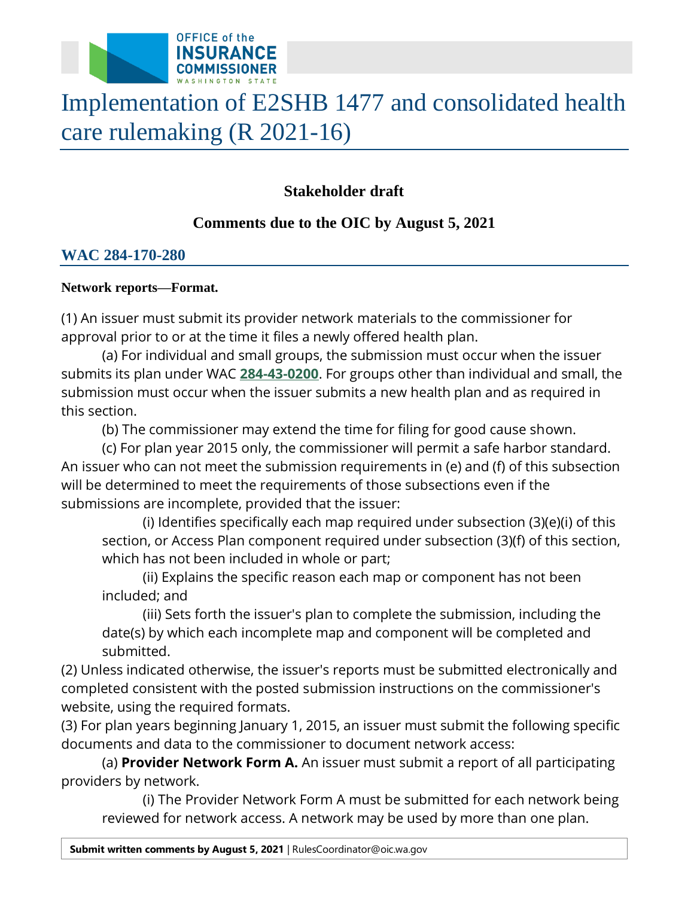

# Implementation of E2SHB 1477 and consolidated health care rulemaking (R 2021-16)

## **Stakeholder draft**

## **Comments due to the OIC by August 5, 2021**

### **WAC 284-170-280**

#### **Network reports—Format.**

 (1) An issuer must submit its provider network materials to the commissioner for approval prior to or at the time it files a newly offered health plan.

 submits its plan under WAC **[284-43-0200](https://apps.leg.wa.gov/wac/default.aspx?cite=284-43-0200)**. For groups other than individual and small, the (a) For individual and small groups, the submission must occur when the issuer submission must occur when the issuer submits a new health plan and as required in this section.

(b) The commissioner may extend the time for filing for good cause shown.

 An issuer who can not meet the submission requirements in (e) and (f) of this subsection will be determined to meet the requirements of those subsections even if the (c) For plan year 2015 only, the commissioner will permit a safe harbor standard. submissions are incomplete, provided that the issuer:

 which has not been included in whole or part; (i) Identifies specifically each map required under subsection (3)(e)(i) of this section, or Access Plan component required under subsection (3)(f) of this section,

(ii) Explains the specific reason each map or component has not been included; and

(iii) Sets forth the issuer's plan to complete the submission, including the date(s) by which each incomplete map and component will be completed and submitted.

(2) Unless indicated otherwise, the issuer's reports must be submitted electronically and completed consistent with the posted submission instructions on the commissioner's website, using the required formats.

(3) For plan years beginning January 1, 2015, an issuer must submit the following specific documents and data to the commissioner to document network access:

(a) **Provider Network Form A.** An issuer must submit a report of all participating providers by network.

(i) The Provider Network Form A must be submitted for each network being reviewed for network access. A network may be used by more than one plan.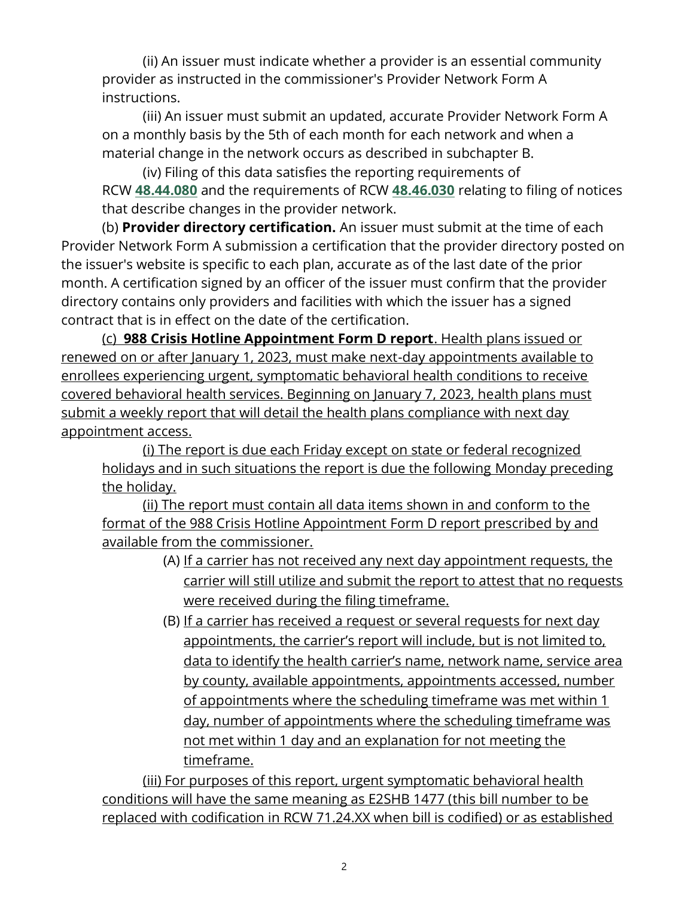(ii) An issuer must indicate whether a provider is an essential community provider as instructed in the commissioner's Provider Network Form A instructions.

 (iii) An issuer must submit an updated, accurate Provider Network Form A on a monthly basis by the 5th of each month for each network and when a material change in the network occurs as described in subchapter B.

(iv) Filing of this data satisfies the reporting requirements of RCW **[48.44.080](http://app.leg.wa.gov/RCW/default.aspx?cite=48.44.080)** and the requirements of RCW **[48.46.030](http://app.leg.wa.gov/RCW/default.aspx?cite=48.46.030)** relating to filing of notices that describe changes in the provider network.

 Provider Network Form A submission a certification that the provider directory posted on month. A certification signed by an officer of the issuer must confirm that the provider (b) **Provider directory certification.** An issuer must submit at the time of each the issuer's website is specific to each plan, accurate as of the last date of the prior directory contains only providers and facilities with which the issuer has a signed contract that is in effect on the date of the certification.

 submit a weekly report that will detail the health plans compliance with next day appointment access. (c) **988 Crisis Hotline Appointment Form D report**. Health plans issued or renewed on or after January 1, 2023, must make next-day appointments available to enrollees experiencing urgent, symptomatic behavioral health conditions to receive covered behavioral health services. Beginning on January 7, 2023, health plans must

(i) The report is due each Friday except on state or federal recognized holidays and in such situations the report is due the following Monday preceding the holiday.

 (ii) The report must contain all data items shown in and conform to the available from the commissioner. format of the 988 Crisis Hotline Appointment Form D report prescribed by and

- carrier will still utilize and submit the report to attest that no requests (A) If a carrier has not received any next day appointment requests, the were received during the filing timeframe.
- appointments, the carrier's report will include, but is not limited to, by county, available appointments, appointments accessed, number of appointments where the scheduling timeframe was met within 1 (B) If a carrier has received a request or several requests for next day data to identify the health carrier's name, network name, service area day, number of appointments where the scheduling timeframe was not met within 1 day and an explanation for not meeting the timeframe.

 (iii) For purposes of this report, urgent symptomatic behavioral health conditions will have the same meaning as E2SHB 1477 (this bill number to be replaced with codification in RCW [71.24.XX](https://71.24.XX) when bill is codified) or as established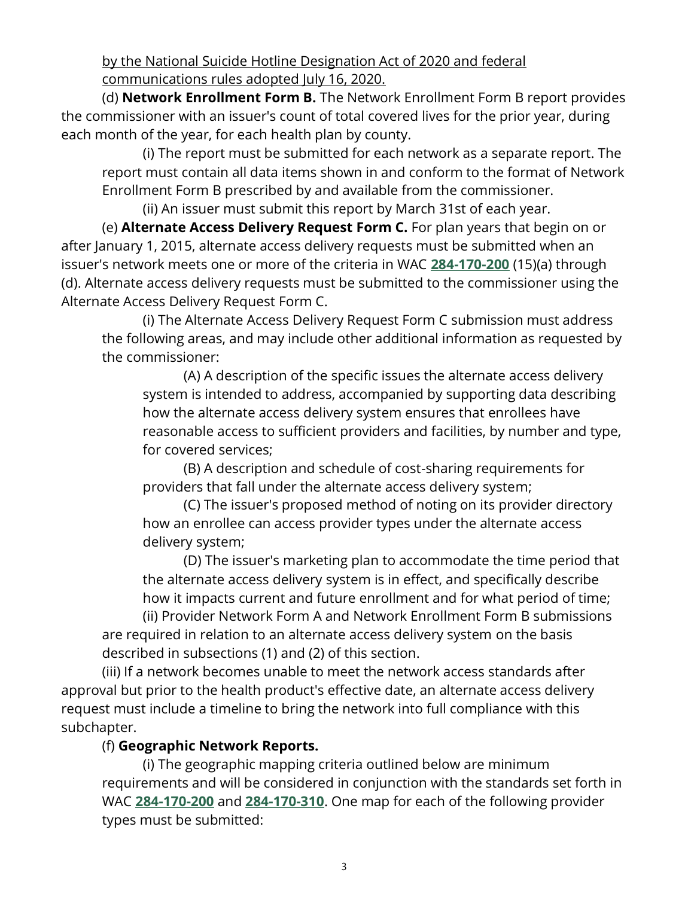by the National Suicide Hotline Designation Act of 2020 and federal communications rules adopted July 16, 2020.

(d) **Network Enrollment Form B.** The Network Enrollment Form B report provides the commissioner with an issuer's count of total covered lives for the prior year, during each month of the year, for each health plan by county.

 (i) The report must be submitted for each network as a separate report. The Enrollment Form B prescribed by and available from the commissioner. report must contain all data items shown in and conform to the format of Network

(ii) An issuer must submit this report by March 31st of each year.

 after January 1, 2015, alternate access delivery requests must be submitted when an (e) **Alternate Access Delivery Request Form C.** For plan years that begin on or issuer's network meets one or more of the criteria in WAC **[284-170-200](https://apps.leg.wa.gov/wac/default.aspx?cite=284-170-200)** (15)(a) through (d). Alternate access delivery requests must be submitted to the commissioner using the Alternate Access Delivery Request Form C.

 (i) The Alternate Access Delivery Request Form C submission must address the following areas, and may include other additional information as requested by the commissioner:

(A) A description of the specific issues the alternate access delivery system is intended to address, accompanied by supporting data describing how the alternate access delivery system ensures that enrollees have reasonable access to sufficient providers and facilities, by number and type, for covered services;

(B) A description and schedule of cost-sharing requirements for providers that fall under the alternate access delivery system;

(C) The issuer's proposed method of noting on its provider directory how an enrollee can access provider types under the alternate access delivery system;

(D) The issuer's marketing plan to accommodate the time period that the alternate access delivery system is in effect, and specifically describe how it impacts current and future enrollment and for what period of time;

(ii) Provider Network Form A and Network Enrollment Form B submissions are required in relation to an alternate access delivery system on the basis described in subsections (1) and (2) of this section.

 approval but prior to the health product's effective date, an alternate access delivery (iii) If a network becomes unable to meet the network access standards after request must include a timeline to bring the network into full compliance with this subchapter.

#### (f) **Geographic Network Reports.**

(i) The geographic mapping criteria outlined below are minimum requirements and will be considered in conjunction with the standards set forth in WAC **[284-170-200](https://apps.leg.wa.gov/wac/default.aspx?cite=284-170-200)** and **[284-170-310](https://apps.leg.wa.gov/wac/default.aspx?cite=284-170-310)**. One map for each of the following provider types must be submitted: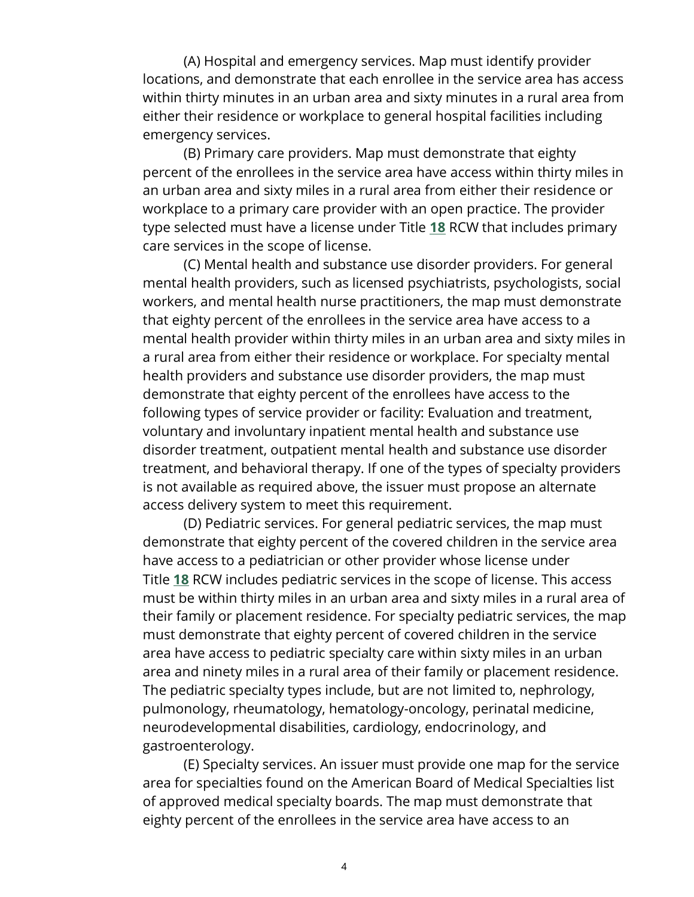(A) Hospital and emergency services. Map must identify provider locations, and demonstrate that each enrollee in the service area has access within thirty minutes in an urban area and sixty minutes in a rural area from either their residence or workplace to general hospital facilities including emergency services.

 type selected must have a license under Title **[18](http://app.leg.wa.gov/RCW/default.aspx?cite=18)** RCW that includes primary (B) Primary care providers. Map must demonstrate that eighty percent of the enrollees in the service area have access within thirty miles in an urban area and sixty miles in a rural area from either their residence or workplace to a primary care provider with an open practice. The provider care services in the scope of license.

 workers, and mental health nurse practitioners, the map must demonstrate that eighty percent of the enrollees in the service area have access to a health providers and substance use disorder providers, the map must voluntary and involuntary inpatient mental health and substance use treatment, and behavioral therapy. If one of the types of specialty providers (C) Mental health and substance use disorder providers. For general mental health providers, such as licensed psychiatrists, psychologists, social mental health provider within thirty miles in an urban area and sixty miles in a rural area from either their residence or workplace. For specialty mental demonstrate that eighty percent of the enrollees have access to the following types of service provider or facility: Evaluation and treatment, disorder treatment, outpatient mental health and substance use disorder is not available as required above, the issuer must propose an alternate access delivery system to meet this requirement.

 Title **[18](http://app.leg.wa.gov/RCW/default.aspx?cite=18)** RCW includes pediatric services in the scope of license. This access must be within thirty miles in an urban area and sixty miles in a rural area of area have access to pediatric specialty care within sixty miles in an urban pulmonology, rheumatology, hematology-oncology, perinatal medicine, (D) Pediatric services. For general pediatric services, the map must demonstrate that eighty percent of the covered children in the service area have access to a pediatrician or other provider whose license under their family or placement residence. For specialty pediatric services, the map must demonstrate that eighty percent of covered children in the service area and ninety miles in a rural area of their family or placement residence. The pediatric specialty types include, but are not limited to, nephrology, neurodevelopmental disabilities, cardiology, endocrinology, and gastroenterology.

 (E) Specialty services. An issuer must provide one map for the service of approved medical specialty boards. The map must demonstrate that eighty percent of the enrollees in the service area have access to an area for specialties found on the American Board of Medical Specialties list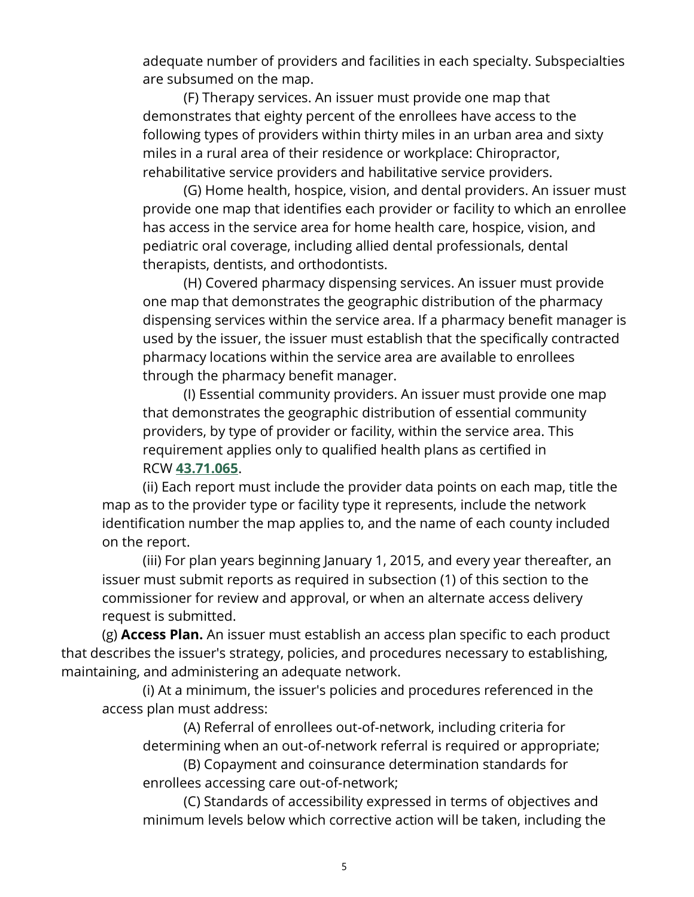adequate number of providers and facilities in each specialty. Subspecialties are subsumed on the map.

 (F) Therapy services. An issuer must provide one map that following types of providers within thirty miles in an urban area and sixty demonstrates that eighty percent of the enrollees have access to the miles in a rural area of their residence or workplace: Chiropractor, rehabilitative service providers and habilitative service providers.

(G) Home health, hospice, vision, and dental providers. An issuer must provide one map that identifies each provider or facility to which an enrollee has access in the service area for home health care, hospice, vision, and pediatric oral coverage, including allied dental professionals, dental therapists, dentists, and orthodontists.

 one map that demonstrates the geographic distribution of the pharmacy (H) Covered pharmacy dispensing services. An issuer must provide dispensing services within the service area. If a pharmacy benefit manager is used by the issuer, the issuer must establish that the specifically contracted pharmacy locations within the service area are available to enrollees through the pharmacy benefit manager.

(I) Essential community providers. An issuer must provide one map that demonstrates the geographic distribution of essential community providers, by type of provider or facility, within the service area. This requirement applies only to qualified health plans as certified in RCW **[43.71.065](http://app.leg.wa.gov/RCW/default.aspx?cite=43.71.065)**.

(ii) Each report must include the provider data points on each map, title the map as to the provider type or facility type it represents, include the network identification number the map applies to, and the name of each county included on the report.

 commissioner for review and approval, or when an alternate access delivery (iii) For plan years beginning January 1, 2015, and every year thereafter, an issuer must submit reports as required in subsection (1) of this section to the request is submitted.

 (g) **Access Plan.** An issuer must establish an access plan specific to each product that describes the issuer's strategy, policies, and procedures necessary to establishing, maintaining, and administering an adequate network.

 access plan must address: (i) At a minimum, the issuer's policies and procedures referenced in the

(A) Referral of enrollees out-of-network, including criteria for determining when an out-of-network referral is required or appropriate; (B) Copayment and coinsurance determination standards for

enrollees accessing care out-of-network;

(C) Standards of accessibility expressed in terms of objectives and minimum levels below which corrective action will be taken, including the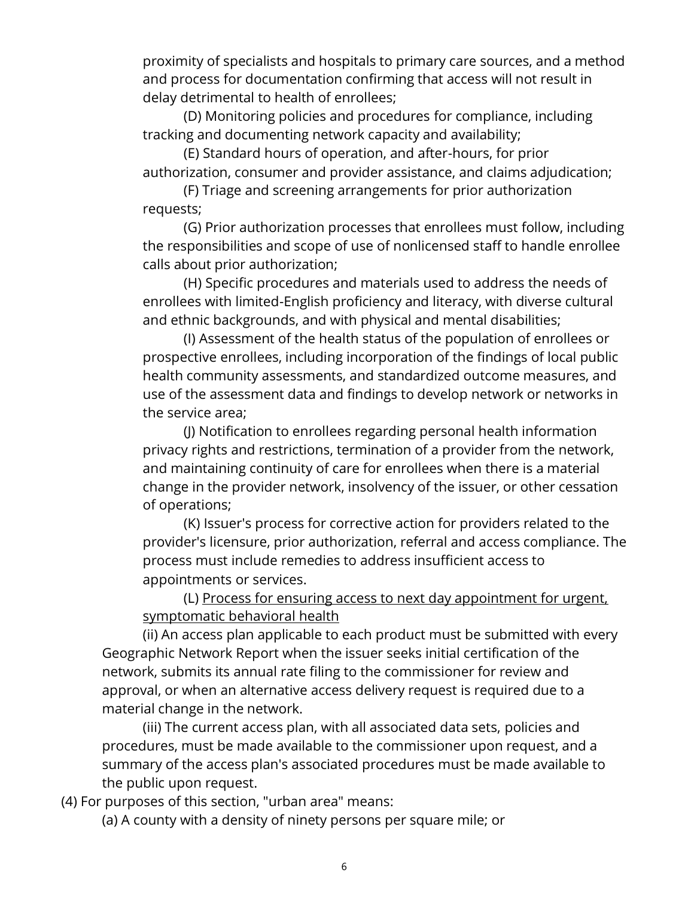proximity of specialists and hospitals to primary care sources, and a method and process for documentation confirming that access will not result in delay detrimental to health of enrollees;

(D) Monitoring policies and procedures for compliance, including tracking and documenting network capacity and availability;

(E) Standard hours of operation, and after-hours, for prior authorization, consumer and provider assistance, and claims adjudication;

(F) Triage and screening arrangements for prior authorization requests;

(G) Prior authorization processes that enrollees must follow, including the responsibilities and scope of use of nonlicensed staff to handle enrollee calls about prior authorization;

(H) Specific procedures and materials used to address the needs of enrollees with limited-English proficiency and literacy, with diverse cultural and ethnic backgrounds, and with physical and mental disabilities;

(I) Assessment of the health status of the population of enrollees or prospective enrollees, including incorporation of the findings of local public health community assessments, and standardized outcome measures, and use of the assessment data and findings to develop network or networks in the service area;

 and maintaining continuity of care for enrollees when there is a material (J) Notification to enrollees regarding personal health information privacy rights and restrictions, termination of a provider from the network, change in the provider network, insolvency of the issuer, or other cessation of operations;

 process must include remedies to address insufficient access to (K) Issuer's process for corrective action for providers related to the provider's licensure, prior authorization, referral and access compliance. The appointments or services.

(L) Process for ensuring access to next day appointment for urgent, symptomatic behavioral health

(ii) An access plan applicable to each product must be submitted with every Geographic Network Report when the issuer seeks initial certification of the network, submits its annual rate filing to the commissioner for review and approval, or when an alternative access delivery request is required due to a material change in the network.

 (iii) The current access plan, with all associated data sets, policies and procedures, must be made available to the commissioner upon request, and a summary of the access plan's associated procedures must be made available to the public upon request.

(4) For purposes of this section, "urban area" means:

(a) A county with a density of ninety persons per square mile; or